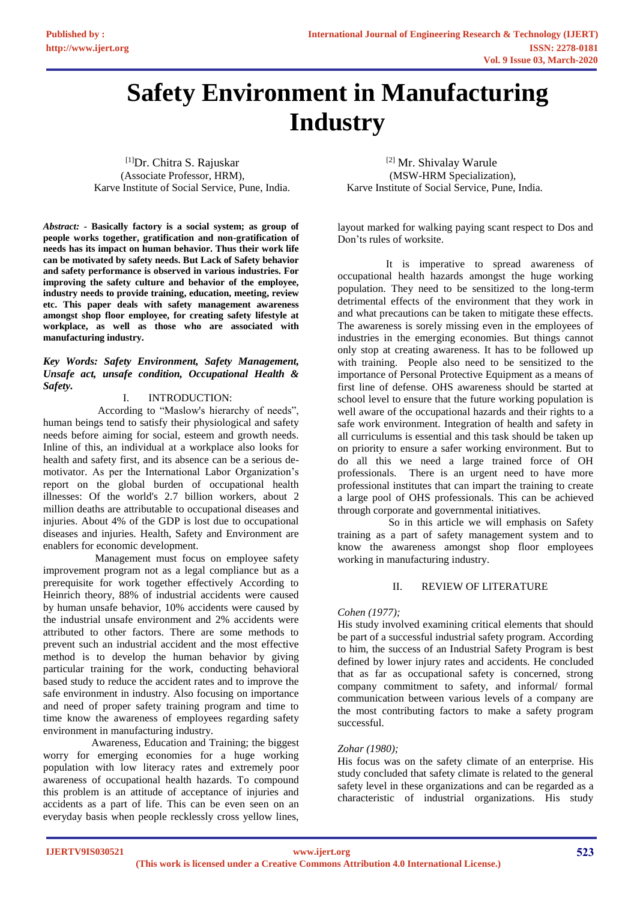# **Safety Environment in Manufacturing Industry**

 $[1]$ Dr. Chitra S. Rajuskar  $[2]$  Mr. Shivalay Warule (Associate Professor, HRM), (MSW-HRM Specialization), Karve Institute of Social Service, Pune, India. Karve Institute of Social Service, Pune, India.

*Abstract: -* **Basically factory is a social system; as group of people works together, gratification and non-gratification of needs has its impact on human behavior. Thus their work life can be motivated by safety needs. But Lack of Safety behavior and safety performance is observed in various industries. For improving the safety culture and behavior of the employee, industry needs to provide training, education, meeting, review etc. This paper deals with safety management awareness amongst shop floor employee, for creating safety lifestyle at workplace, as well as those who are associated with manufacturing industry.** 

## *Key Words: Safety Environment, Safety Management, Unsafe act, unsafe condition, Occupational Health & Safety.*

# I. INTRODUCTION:

 According to "Maslow's hierarchy of needs", human beings tend to satisfy their physiological and safety needs before aiming for social, esteem and growth needs. Inline of this, an individual at a workplace also looks for health and safety first, and its absence can be a serious demotivator. As per the International Labor Organization's report on the global burden of occupational health illnesses: Of the world's 2.7 billion workers, about 2 million deaths are attributable to occupational diseases and injuries. About 4% of the GDP is lost due to occupational diseases and injuries. Health, Safety and Environment are enablers for economic development.

 Management must focus on employee safety improvement program not as a legal compliance but as a prerequisite for work together effectively According to Heinrich theory, 88% of industrial accidents were caused by human unsafe behavior, 10% accidents were caused by the industrial unsafe environment and 2% accidents were attributed to other factors. There are some methods to prevent such an industrial accident and the most effective method is to develop the human behavior by giving particular training for the work, conducting behavioral based study to reduce the accident rates and to improve the safe environment in industry. Also focusing on importance and need of proper safety training program and time to time know the awareness of employees regarding safety environment in manufacturing industry.

 Awareness, Education and Training; the biggest worry for emerging economies for a huge working population with low literacy rates and extremely poor awareness of occupational health hazards. To compound this problem is an attitude of acceptance of injuries and accidents as a part of life. This can be even seen on an everyday basis when people recklessly cross yellow lines,

layout marked for walking paying scant respect to Dos and Don'ts rules of worksite.

 It is imperative to spread awareness of occupational health hazards amongst the huge working population. They need to be sensitized to the long-term detrimental effects of the environment that they work in and what precautions can be taken to mitigate these effects. The awareness is sorely missing even in the employees of industries in the emerging economies. But things cannot only stop at creating awareness. It has to be followed up with training. People also need to be sensitized to the importance of Personal Protective Equipment as a means of first line of defense. OHS awareness should be started at school level to ensure that the future working population is well aware of the occupational hazards and their rights to a safe work environment. Integration of health and safety in all curriculums is essential and this task should be taken up on priority to ensure a safer working environment. But to do all this we need a large trained force of OH professionals. There is an urgent need to have more professional institutes that can impart the training to create a large pool of OHS professionals. This can be achieved through corporate and governmental initiatives.

 So in this article we will emphasis on Safety training as a part of safety management system and to know the awareness amongst shop floor employees working in manufacturing industry.

## II. REVIEW OF LITERATURE

## *Cohen (1977);*

His study involved examining critical elements that should be part of a successful industrial safety program. According to him, the success of an Industrial Safety Program is best defined by lower injury rates and accidents. He concluded that as far as occupational safety is concerned, strong company commitment to safety, and informal/ formal communication between various levels of a company are the most contributing factors to make a safety program successful.

## *Zohar (1980);*

His focus was on the safety climate of an enterprise. His study concluded that safety climate is related to the general safety level in these organizations and can be regarded as a characteristic of industrial organizations. His study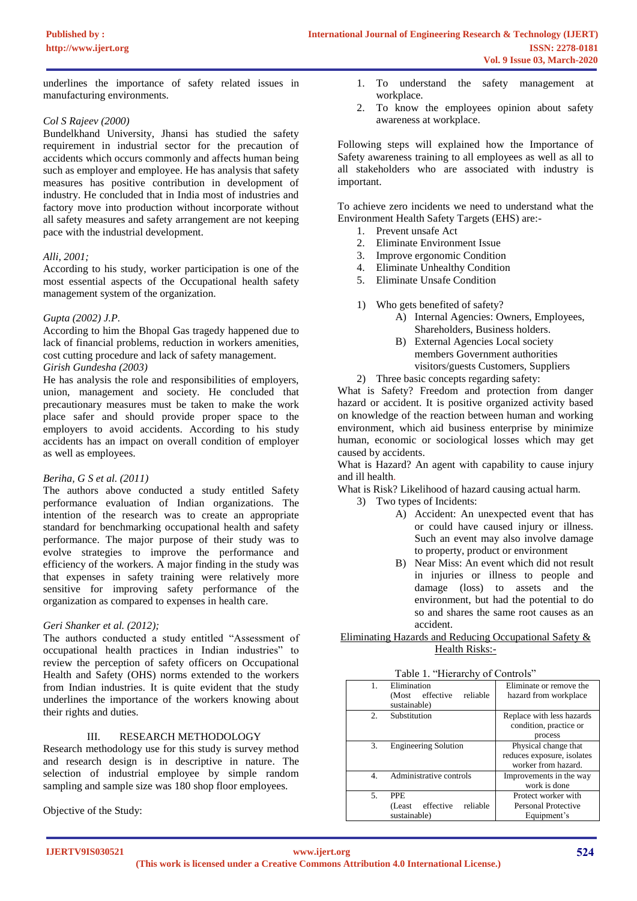underlines the importance of safety related issues in manufacturing environments.

## *Col S Rajeev (2000)*

Bundelkhand University, Jhansi has studied the safety requirement in industrial sector for the precaution of accidents which occurs commonly and affects human being such as employer and employee. He has analysis that safety measures has positive contribution in development of industry. He concluded that in India most of industries and factory move into production without incorporate without all safety measures and safety arrangement are not keeping pace with the industrial development.

## *Alli, 2001;*

According to his study, worker participation is one of the most essential aspects of the Occupational health safety management system of the organization.

#### *Gupta (2002) J.P.*

According to him the Bhopal Gas tragedy happened due to lack of financial problems, reduction in workers amenities, cost cutting procedure and lack of safety management. *Girish Gundesha (2003)* 

He has analysis the role and responsibilities of employers, union, management and society. He concluded that precautionary measures must be taken to make the work place safer and should provide proper space to the employers to avoid accidents. According to his study accidents has an impact on overall condition of employer as well as employees.

## *Beriha, G S et al. (2011)*

The authors above conducted a study entitled Safety performance evaluation of Indian organizations. The intention of the research was to create an appropriate standard for benchmarking occupational health and safety performance. The major purpose of their study was to evolve strategies to improve the performance and efficiency of the workers. A major finding in the study was that expenses in safety training were relatively more sensitive for improving safety performance of the organization as compared to expenses in health care.

## *Geri Shanker et al. (2012);*

The authors conducted a study entitled "Assessment of occupational health practices in Indian industries" to review the perception of safety officers on Occupational Health and Safety (OHS) norms extended to the workers from Indian industries. It is quite evident that the study underlines the importance of the workers knowing about their rights and duties.

# III. RESEARCH METHODOLOGY

Research methodology use for this study is survey method and research design is in descriptive in nature. The selection of industrial employee by simple random sampling and sample size was 180 shop floor employees.

Objective of the Study:

- 1. To understand the safety management at workplace.
- 2. To know the employees opinion about safety awareness at workplace.

Following steps will explained how the Importance of Safety awareness training to all employees as well as all to all stakeholders who are associated with industry is important.

To achieve zero incidents we need to understand what the Environment Health Safety Targets (EHS) are:-

- 1. Prevent unsafe Act
- 2. Eliminate Environment Issue
- 3. Improve ergonomic Condition
- 4. Eliminate Unhealthy Condition
- 5. Eliminate Unsafe Condition
- 1) Who gets benefited of safety?
	- A) Internal Agencies: Owners, Employees, Shareholders, Business holders.
	- B) External Agencies Local society members Government authorities visitors/guests Customers, Suppliers
- 2) Three basic concepts regarding safety:

What is Safety? Freedom and protection from danger hazard or accident. It is positive organized activity based on knowledge of the reaction between human and working environment, which aid business enterprise by minimize human, economic or sociological losses which may get caused by accidents.

What is Hazard? An agent with capability to cause injury and ill health.

What is Risk? Likelihood of hazard causing actual harm.

- 3) Two types of Incidents:
	- A) Accident: An unexpected event that has or could have caused injury or illness. Such an event may also involve damage to property, product or environment
	- B) Near Miss: An event which did not result in injuries or illness to people and damage (loss) to assets and the environment, but had the potential to do so and shares the same root causes as an accident.

## Eliminating Hazards and Reducing Occupational Safety & Health Risks:-

| Table 1. "Hierarchy of Controls" |                  |
|----------------------------------|------------------|
| Elimination                      | Elimination or r |

| 1.             | Elimination                      | Eliminate or remove the    |
|----------------|----------------------------------|----------------------------|
|                | reliable<br>effective<br>(Most   | hazard from workplace      |
|                | sustainable)                     |                            |
| 2.             | Substitution                     | Replace with less hazards  |
|                |                                  | condition, practice or     |
|                |                                  | process                    |
| 3.             | <b>Engineering Solution</b>      | Physical change that       |
|                |                                  | reduces exposure, isolates |
|                |                                  | worker from hazard.        |
| $\overline{4}$ | Administrative controls          | Improvements in the way    |
|                |                                  | work is done               |
| 5.             | <b>PPE</b>                       | Protect worker with        |
|                | reliable<br>effective<br>(Least) | Personal Protective        |
|                | sustainable)                     | Equipment's                |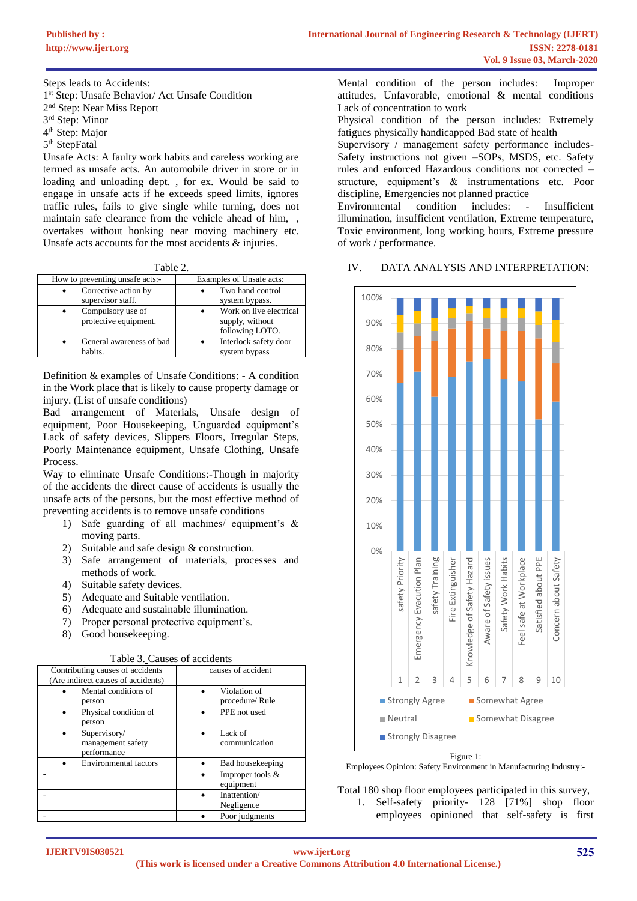Steps leads to Accidents:

1 st Step: Unsafe Behavior/ Act Unsafe Condition

2<sup>nd</sup> Step: Near Miss Report

3 rd Step: Minor

4<sup>th</sup> Step: Major

5<sup>th</sup> StepFatal

Unsafe Acts: A faulty work habits and careless working are termed as unsafe acts. An automobile driver in store or in loading and unloading dept. , for ex. Would be said to engage in unsafe acts if he exceeds speed limits, ignores traffic rules, fails to give single while turning, does not maintain safe clearance from the vehicle ahead of him. overtakes without honking near moving machinery etc. Unsafe acts accounts for the most accidents & injuries.

| How to preventing unsafe acts:-            | Examples of Unsafe acts:                                      |
|--------------------------------------------|---------------------------------------------------------------|
| Corrective action by<br>supervisor staff.  | Two hand control<br>system bypass.                            |
| Compulsory use of<br>protective equipment. | Work on live electrical<br>supply, without<br>following LOTO. |
| General awareness of bad<br>habits.        | Interlock safety door<br>system bypass                        |

Definition & examples of Unsafe Conditions: - A condition in the Work place that is likely to cause property damage or injury. (List of unsafe conditions)

Bad arrangement of Materials, Unsafe design of equipment, Poor Housekeeping, Unguarded equipment's Lack of safety devices, Slippers Floors, Irregular Steps, Poorly Maintenance equipment, Unsafe Clothing, Unsafe Process.

Way to eliminate Unsafe Conditions:-Though in majority of the accidents the direct cause of accidents is usually the unsafe acts of the persons, but the most effective method of preventing accidents is to remove unsafe conditions

- 1) Safe guarding of all machines/ equipment's & moving parts.
- 2) Suitable and safe design & construction.
- 3) Safe arrangement of materials, processes and methods of work.
- 4) Suitable safety devices.
- 5) Adequate and Suitable ventilation.
- 6) Adequate and sustainable illumination.
- 7) Proper personal protective equipment's.
- 8) Good housekeeping.

| Table 3. Causes of accidents |  |
|------------------------------|--|
|------------------------------|--|

| raore 5. Causes or accruents                                           |                                 |  |
|------------------------------------------------------------------------|---------------------------------|--|
| Contributing causes of accidents<br>(Are indirect causes of accidents) | causes of accident              |  |
| Mental conditions of                                                   | Violation of                    |  |
| person                                                                 | procedure/ Rule                 |  |
| Physical condition of<br>person                                        | PPE not used                    |  |
| Supervisory/<br>management safety<br>performance                       | Lack of<br>communication        |  |
| <b>Environmental factors</b>                                           | Bad housekeeping                |  |
|                                                                        | Improper tools $&$<br>equipment |  |
|                                                                        | Inattention/<br>Negligence      |  |
|                                                                        | Poor judgments                  |  |

Mental condition of the person includes: Improper attitudes, Unfavorable, emotional & mental conditions Lack of concentration to work

Physical condition of the person includes: Extremely fatigues physically handicapped Bad state of health

Supervisory / management safety performance includes-Safety instructions not given –SOPs, MSDS, etc. Safety rules and enforced Hazardous conditions not corrected – structure, equipment's & instrumentations etc. Poor discipline, Emergencies not planned practice

Environmental condition includes: - Insufficient illumination, insufficient ventilation, Extreme temperature, Toxic environment, long working hours, Extreme pressure of work / performance.

## IV. DATA ANALYSIS AND INTERPRETATION:



Figure 1:

Employees Opinion: Safety Environment in Manufacturing Industry:-

Total 180 shop floor employees participated in this survey, 1. Self-safety priority- 128 [71%] shop floor employees opinioned that self-safety is first